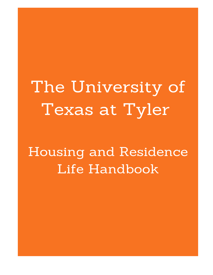The University of Texas at Tyler

**Housing and Residence** Life Handbook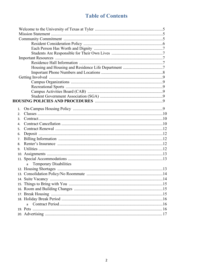# **Table of Contents**

| $1_{-}$        |                                    |  |
|----------------|------------------------------------|--|
| 2 <sub>1</sub> |                                    |  |
| 3.             |                                    |  |
| 4.             |                                    |  |
| 5 <sub>1</sub> |                                    |  |
| 6.             |                                    |  |
| 7.             |                                    |  |
| 8.             |                                    |  |
| 9.             |                                    |  |
|                |                                    |  |
|                |                                    |  |
|                | <b>Temporary Disabilities</b><br>a |  |
|                |                                    |  |
|                |                                    |  |
|                |                                    |  |
|                |                                    |  |
|                |                                    |  |
|                |                                    |  |
|                |                                    |  |
|                |                                    |  |
|                | a                                  |  |
|                |                                    |  |
|                |                                    |  |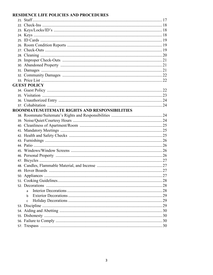# RESIDENCE LIFE POLICIES AND PROCEDURES

| <b>GUEST POLICY</b>                            |  |
|------------------------------------------------|--|
|                                                |  |
|                                                |  |
|                                                |  |
|                                                |  |
| ROOMMATE/SUITEMATE RIGHTS AND RESPONSIBILITIES |  |
|                                                |  |
|                                                |  |
|                                                |  |
|                                                |  |
|                                                |  |
|                                                |  |
|                                                |  |
|                                                |  |
|                                                |  |
|                                                |  |
|                                                |  |
|                                                |  |
|                                                |  |
|                                                |  |
|                                                |  |
|                                                |  |
| h                                              |  |
| C                                              |  |
|                                                |  |
|                                                |  |
|                                                |  |
|                                                |  |
|                                                |  |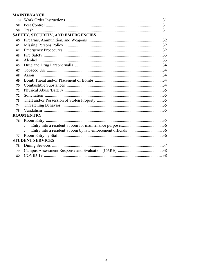# **MAINTENANCE**

| 58<br>59.<br><b>SAFETY, SECURITY, AND EMERGENCIES</b><br>60.<br>61.<br>62.<br>63.<br>64.<br>65.<br>67.<br>68.<br>69.<br>70.<br>71.<br>72.<br>73.<br>74.<br>75.<br><b>ROOM ENTRY</b><br>76.<br>a<br>b<br>77.<br><b>STUDENT SERVICES</b><br>78.<br>79.<br>80. |  |  |
|-------------------------------------------------------------------------------------------------------------------------------------------------------------------------------------------------------------------------------------------------------------|--|--|
|                                                                                                                                                                                                                                                             |  |  |
|                                                                                                                                                                                                                                                             |  |  |
|                                                                                                                                                                                                                                                             |  |  |
|                                                                                                                                                                                                                                                             |  |  |
|                                                                                                                                                                                                                                                             |  |  |
|                                                                                                                                                                                                                                                             |  |  |
|                                                                                                                                                                                                                                                             |  |  |
|                                                                                                                                                                                                                                                             |  |  |
|                                                                                                                                                                                                                                                             |  |  |
|                                                                                                                                                                                                                                                             |  |  |
|                                                                                                                                                                                                                                                             |  |  |
|                                                                                                                                                                                                                                                             |  |  |
|                                                                                                                                                                                                                                                             |  |  |
|                                                                                                                                                                                                                                                             |  |  |
|                                                                                                                                                                                                                                                             |  |  |
|                                                                                                                                                                                                                                                             |  |  |
|                                                                                                                                                                                                                                                             |  |  |
|                                                                                                                                                                                                                                                             |  |  |
|                                                                                                                                                                                                                                                             |  |  |
|                                                                                                                                                                                                                                                             |  |  |
|                                                                                                                                                                                                                                                             |  |  |
|                                                                                                                                                                                                                                                             |  |  |
|                                                                                                                                                                                                                                                             |  |  |
|                                                                                                                                                                                                                                                             |  |  |
|                                                                                                                                                                                                                                                             |  |  |
|                                                                                                                                                                                                                                                             |  |  |
|                                                                                                                                                                                                                                                             |  |  |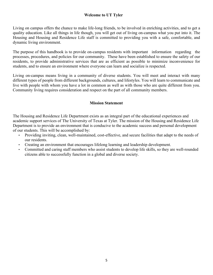## **Welcome to UT Tyler**

Living on campus offers the chance to make life-long friends, to be involved in enriching activities, and to get a quality education. Like all things in life though, you will get out of living on-campus what you put into it. The Housing and Housing and Residence Life staff is committed to providing you with a safe, comfortable, and dynamic living environment.

The purpose of this handbook is to provide on-campus residents with important information regarding the processes, procedures, and policies for our community. These have been established to ensure the safety of our residents, to provide administrative services that are as efficient as possible to minimize inconvenience for students, and to ensure an environment where everyone can learn and socialize is respected.

Living on-campus means living in a community of diverse students. You will meet and interact with many different types of people from different backgrounds, cultures, and lifestyles. You will learn to communicate and live with people with whom you have a lot in common as well as with those who are quite different from you. Community living requires consideration and respect on the part of all community members.

# **Mission Statement**

The Housing and Residence Life Department exists as an integral part of the educational experiences and academic support services of The University of Texas at Tyler. The mission of the Housing and Residence Life Department is to provide an environment that is conducive to the academic success and personal development of our students. This will be accomplished by:

- Providing inviting, clean, well-maintained, cost-effective, and secure facilities that adapt to the needs of our residents.
- Creating an environment that encourages lifelong learning and leadership development.
- Committed and caring staff members who assist students to develop life skills, so they are well-rounded citizens able to successfully function in a global and diverse society.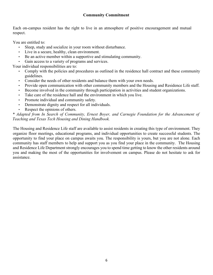# **Community Commitment**

Each on-campus resident has the right to live in an atmosphere of positive encouragement and mutual respect.

You are entitled to:

- Sleep, study and socialize in your room without disturbance.
- Live in a secure, healthy, clean environment.
- Be an active member within a supportive and stimulating community.
- Gain access to a variety of programs and services.

Your individual responsibilities are to:

- Comply with the policies and procedures as outlined in the residence hall contract and these community guidelines.
- Consider the needs of other residents and balance them with your own needs.
- Provide open communication with other community members and the Housing and Residence Life staff.
- Become involved in the community through participation in activities and student organizations.
- Take care of the residence hall and the environment in which you live.
- Promote individual and community safety.
- Demonstrate dignity and respect for all individuals.
- Respect the opinions of others.

## *\* Adapted from In Search of Community, Ernest Boyer, and Carnegie Foundation for the Advancement of Teaching and Texas Tech Housing and Dining Handbook.*

The Housing and Residence Life staff are available to assist residents in creating this type of environment. They organize floor meetings, educational programs, and individual opportunities to create successful students. The opportunity to find your place on campus awaits you. The responsibility is yours, but you are not alone. Each community has staff members to help and support you as you find your place in the community. The Housing and Residence Life Department strongly encourages you to spend time getting to know the other residents around you and making the most of the opportunities for involvement on campus. Please do not hesitate to ask for assistance.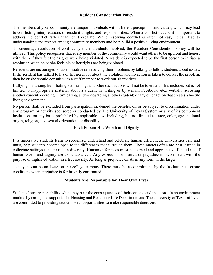## **Resident Consideration Policy**

The members of your community are unique individuals with different perceptions and values, which may lead to conflicting interpretations of resident's rights and responsibilities. When a conflict occurs, it is important to address the conflict rather than let it escalate. While resolving conflict is often not easy, it can lead to understanding and respect among community members and help build a positive living environment.

To encourage resolution of conflict by the individuals involved, the Resident Consideration Policy will be utilized. This policy recognizes that every member of the community would want others to be up front and honest with them if they felt their rights were being violated. A resident is expected to be the first person to initiate a resolution when he or she feels his or her rights are being violated.

Residents are encouraged to take initiative on resolving their problems by talking to fellow students about issues. If the resident has talked to his or her neighbor about the violation and no action is taken to correct the problem, then he or she should consult with a staff member to work out alternatives.

Bullying, harassing, humiliating, demeaning, and other such actions will not be tolerated. This includes but is not limited to inappropriate material about a student in writing or by e-mail, Facebook, etc.; verbally accosting another student; coercing, intimidating, and/or degrading another student; or any other action that creates a hostile living environment.

No person shall be excluded from participation in, denied the benefits of, or be subject to discrimination under any program or activity sponsored or conducted by The University of Texas System or any of its component institutions on any basis prohibited by applicable law, including, but not limited to, race, color, age, national origin, religion, sex, sexual orientation, or disability.

# **Each Person Has Worth and Dignity**

It is imperative students learn to recognize, understand and celebrate human differences. Universities can, and must, help students become open to the differences that surround them. These matters often are best learned in collegiate settings that are rich in diversity. Human differences must be learned and appreciated if the ideals of human worth and dignity are to be advanced. Any expression of hatred or prejudice is inconsistent with the purpose of higher education in a free society. As long as prejudice exists in any form in the larger

society, it can be an issue on the college campus. There must be a commitment by the institution to create conditions where prejudice is forthrightly confronted.

#### **Students Are Responsible for Their Own Lives**

Students learn responsibility when they bear the consequences of their actions, and inactions, in an environment marked by caring and support. The Housing and Residence Life Department and The University of Texas at Tyler are committed to providing students with opportunities to make responsible decisions.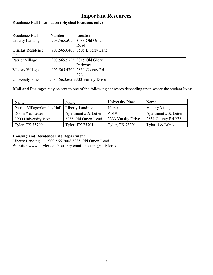# **Important Resources**

Residence Hall Information **(physical locations only)** 

| Residence Hall          | Number | Location                        |
|-------------------------|--------|---------------------------------|
| Liberty Landing         |        | 903.565.5990 3088 Old Omen      |
|                         |        | Road                            |
| Ornelas Residence       |        | 903.565.6400 3508 Liberty Lane  |
| Hall                    |        |                                 |
| Patriot Village         |        | 903.565.5725 3815 Old Glory     |
|                         |        | Parkway                         |
| Victory Village         |        | 903.565.4700 2851 County Rd     |
|                         |        | 272                             |
| <b>University Pines</b> |        | 903.566.3565 3333 Varsity Drive |

**Mail and Packages** may be sent to one of the following addresses depending upon where the student lives:

| Name                         | Name                   | University Pines   | Name                   |
|------------------------------|------------------------|--------------------|------------------------|
| Patriot Village/Ornelas Hall | Liberty Landing        | Name               | Victory Village        |
| Room # $&$ Letter            | Apartment # $&$ Letter | Apt $#$            | Apartment # $&$ Letter |
| 3900 University Blvd         | 3088 Old Omen Road     | 3333 Varsity Drive | 2851 County Rd 272     |
| Tyler, TX 75799              | Tyler, TX 75701        | Tyler, TX 75701    | Tyler, TX 75707        |

# **Housing and Residence Life Department**

903.566.7008 3088 Old Omen Road Website[:](http://www.uttyler.edu/housing/) [www.uttyler.edu/housing/](http://www.uttyler.edu/housing/) email: housing@uttyler.edu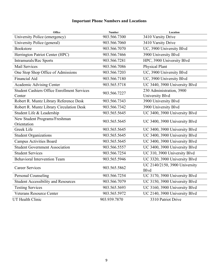# **Important Phone Numbers and Locations**

| Office                                                       | <b>Number</b> | Location                                           |
|--------------------------------------------------------------|---------------|----------------------------------------------------|
| University Police (emergency)                                | 903.566.7300  | 3410 Varsity Drive                                 |
| University Police (general)                                  | 903.566.7060  | 3410 Varsity Drive                                 |
| <b>Bookstore</b>                                             | 903.566.7070  | UC, 3900 University Blvd                           |
| Herrington Patriot Center (HPC)                              | 903.566.7466  | 3900 University Blvd                               |
| Intramurals/Rec Sports                                       | 903.566.7281  | HPC, 3900 University Blvd                          |
| <b>Mail Services</b>                                         | 903.566.7086  | <b>Physical Plant</b>                              |
| One Stop Shop Office of Admissions                           | 903.566.7203  | UC, 3900 University Blvd                           |
| Financial Aid                                                | 903.566.7180  | UC, 3900 University Blvd                           |
| Academic Advising Center                                     | 903.565.5718  | UC 3440, 3900 University Blvd                      |
| <b>Student Cashiers Office Enrollment Services</b><br>Center | 903.566.7227  | 230 Administration, 3900<br><b>University Blvd</b> |
| Robert R. Muntz Library Reference Desk                       | 903.566.7343  | 3900 University Blvd                               |
| Robert R. Muntz Library Circulation Desk                     | 903.566.7342  | 3900 University Blvd                               |
| Student Life & Leadership                                    | 903.565.5645  | UC 3400, 3900 University Blvd                      |
| New Student Programs/Freshman<br>Orientation                 | 903.565.5645  | UC 3400, 3900 University Blvd                      |
| Greek Life                                                   | 903.565.5645  | UC 3400, 3900 University Blvd                      |
| <b>Student Organizations</b>                                 | 903.565.5645  | UC 3400, 3900 University Blvd                      |
| <b>Campus Activities Board</b>                               | 903.565.5645  | UC 3400, 3900 University Blvd                      |
| <b>Student Government Association</b>                        | 903.566.5557  | UC 3400, 3900 University Blvd                      |
| <b>Student Services</b>                                      | 903.566.7254  | UC 310, 3900 University Blvd                       |
| <b>Behavioral Intervention Team</b>                          | 903.565.5946  | UC 3320, 3900 University Blvd                      |
| <b>Career Services</b>                                       | 903.565.5862  | UC 2140/2150, 3900 University<br><b>B</b> lvd      |
| <b>Personal Counseling</b>                                   | 903.566.7254  | UC 3170, 3900 University Blvd                      |
| <b>Student Accessibility and Resources</b>                   | 903.566.7079  | UC 3150, 3900 University Blvd                      |
| <b>Testing Services</b>                                      | 903.565.5693  | UC 3160, 3900 University Blvd                      |
| <b>Veterans Resource Center</b>                              | 903.565.5972  | UC 2140, 3900 University Blvd                      |
| UT Health Clinic                                             | 903.939.7870  | 3310 Patriot Drive                                 |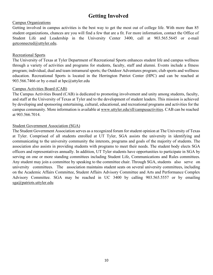# **Getting Involved**

#### Campus Organizations

Getting involved in campus activities is the best way to get the most out of college life. With more than 85 student organizations, chances are you will find a few that are a fit. For more information, contact the Office of Student Life and Leadership in the University Center 3400, call at 903.565.5645 or e-mail getconnected@uttyler.edu.

#### Recreational Sports

The University of Texas at Tyler Department of Recreational Sports enhances student life and campus wellness through a variety of activities and programs for students, faculty, staff and alumni. Events include a fitness program; individual, dual and team intramural sports; the Outdoor Adventures program; club sports and wellness education. Recreational Sports is located in the Herrington Patriot Center (HPC) and can be reached at 903.566.7466 or by e-mail at hpc@uttyler.edu

#### Campus Activities Board (CAB)

The Campus Activities Board (CAB) is dedicated to promoting involvement and unity among students, faculty, and staff at the University of Texas at Tyler and to the development of student leaders. This mission is achieved by developing and sponsoring entertaining, cultural, educational, and recreational programs and activities for the campus community. Mor[e information is available at](http://www.uttyler.edu/sll/campusactivities) [www.uttyler.edu/sll/campusactivities. CA](http://www.uttyler.edu/sll/campusactivities)B can be reached at 903.566.7014.

#### Student Government Association (SGA)

The Student Government Association serves as a recognized forum for student opinion at The University of Texas at Tyler. Comprised of all students enrolled at UT Tyler, SGA assists the university in identifying and communicating to the university community the interests, programs and goals of the majority of students. The association also assists in providing students with programs to meet their needs. The student body elects SGA officers and representatives annually. In addition, UT Tyler students have opportunities to participate in SGA by serving on one or more standing committees including Student Life, Communications and Rules committees. Any student may join a committee by speaking to the committee chair. Through SGA, students also serve on university committees. The association maintains student seats on several university committees, including on the Academic Affairs Committee, Student Affairs Advisory Committee and Arts and Performance Complex Advisory Committee. SGA may be reached in UC 3400 by calling 903.565.5557 or by emailing [sga@patriots.uttyler.edu](mailto:sga@patriots.uttyler.edu)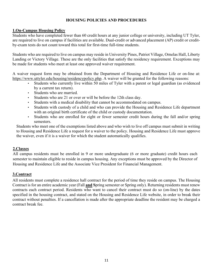# **HOUSING POLICIES AND PROCEDURES**

# **1.On-Campus Housing Policy**

Students who have completed fewer than 60 credit hours at any junior college or university, including UT Tyler, are required to live on campus if facilities are available. Dual-credit or advanced placement (AP) credit or creditby-exam tests do not count toward this total for first-time full-time students.

Students who are required to live on campus may reside in University Pines, Patriot Village, Ornelas Hall, Liberty Landing or Victory Village. These are the only facilities that satisfy the residency requirement. Exceptions may be made for students who meet at least one approved waiver requirement.

A waiver request form may be obtained from the Department of Housing and Residence Life or on-line at: [https://www.uttyler.edu/housing/residencypolicy.php.](https://www.uttyler.edu/housing/residencypolicy.php) A waiver will be granted for the following reasons:

- Students who currently live within 50 miles of Tyler with a parent or legal guardian (as evidenced by a current tax return).
- Students who are married.
- Students who are 21 or over or will be before the 12th class day.
- Students with a medical disability that cannot be accommodated on campus.
- Students with custody of a child and who can provide the Housing and Residence Life department with an original birth certificate of the child or custody documentation.
- Students who are enrolled for eight or fewer semester credit hours during the fall and/or spring semesters.

Students who meet one of the exemptions listed above and who wish to live off campus must submit in writing to Housing and Residence Life a request for a waiver to the policy. Housing and Residence Life must approve the waiver, even if it is a waiver for which the student automatically qualifies.

#### **2.Classes**

All campus residents must be enrolled in 9 or more undergraduate (6 or more graduate) credit hours each semester to maintain eligible to reside in campus housing. Any exceptions must be approved by the Director of Housing and Residence Life and the Associate Vice President for Financial Management.

# **3.Contract**

All residents must complete a residence hall contract for the period of time they reside on campus. The Housing Contract is for an entire academic year (Fall **and S**pring semester or Spring only). Returning residents must renew contracts each contract period. Residents who want to cancel their contract must do so (on-line) by the dates specified in the housing contract, and stated on the Housing and Residence Life website, in order to break their contract without penalties. If a cancellation is made after the appropriate deadline the resident may be charged a contract break fee.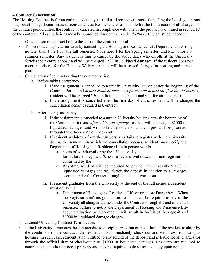# **4.Contract Cancellation**

The Housing Contract is for an entire academic year (fall **and** spring semester). Canceling the housing contract may result in significant financial consequences. Residents are responsible for the full amount of all charges for the contract period unless the contract is canceled in compliance with one of the provisions outlined in section IV of the contract. All cancellations must be submitted through the resident's "myUTTyler" student account.

- a Cancellation of contract before the start of the contract period:
- b This contract may be terminated by contacting the Housing and Residence Life Department in writing no later than June 1 for the fall semester, November 1 for the Spring semester, and May 1 for any summer semester. Any resident failing to cancel by the above dates who enrolls at the University forfeits their entire deposit and will be charged \$500 in liquidated damages. If the resident does not meet the criteria for the Housing Waiver, resident will be assessed charges for housing and a meal plan.
- c Cancellation of contract during the contract period:
	- a. Before taking occupancy:
		- i. If the assignment is cancelled to a unit in University Housing after the beginning of the Contract Period and *before resident takes occupancy and before the first day of classes*, resident will be charged \$500 in liquidated damages and will forfeit the deposit.
		- ii. If the assignment is cancelled after the first day of class, resident will be charged the cancellation penalties stated in Contract.
	- b. After taking occupancy:
		- i. If the assignment is canceled to a unit in University housing after the beginning of the Contract period and *after taking occupancy*, resident will be charged \$1000 in liquidated damages and will forfeit deposit and unit charges will be prorated through the official date of check-out.
		- ii. If resident withdraws from the University or fails to register with the University during the semester in which the cancellation occurs, resident must notify the Department of Housing and Residence Life in person within
			- a. hours of withdrawal or by the 12th class day
			- b. for failure to register. When resident's withdrawal or non-registration is confirmed by the
			- c. Registrar, resident will be required to pay to the University \$1000 in liquidated damages and will forfeit the deposit in addition to all charges accrued under the Contact through the date of check out.
		- iii. If resident graduates from the University at the end of the fall semester, resident must notify the
			- a. Department of Housing and Residence Life on or before December 1. When the Registrar confirms graduation, resident will be required to pay to the University all charges accrued under the Contract through the end of the fall semester. Failure to notify the Department of Housing and Residence Life about graduation by December 1 will result in forfeit of the deposit and \$1000 in liquidated damage charges.
- d Judicial/University Contract Termination:
- e If the University terminates the contract due to disciplinary action or the failure of the resident to abide by the conditions of the contract, the resident must immediately check-out and withdraw from campus housing. In such case, resident is not entitled to any refund of the deposit and is liable for all charges for through the official date of check-out plus \$1000 in liquidated damages. Residents are required to complete the checkout process properly and may be required to do so immediately upon notice.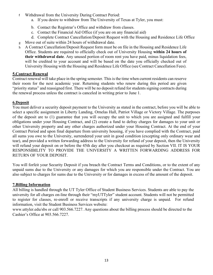- f Withdrawal from the University During Contract Period:
	- a. If you desire to withdraw from The University of Texas at Tyler, you must:
	- b. Contact the Registrar's Office and withdraw from classes.
	- c. Contact the Financial Aid Office (if you are on any financial aid)
	- d. Complete Contract Cancellation/Deposit Request with the Housing and Residence Life Office
- g Move out of suite within 24 hours of withdrawal date.
- h A Contract Cancellation/Deposit Request form must be on file in the Housing and Residence Life Office. Students are required to officially check out of University Housing **within 24 hours of their withdrawal date**. Any unused portion of room rent you have paid, minus liquidation fees, will be credited to your account and will be based on the date you officially checked out of University Housing with the Housing and Residence Life Office (see Contract Cancellation Fees).

# **5.Contract Renewal**

Contract renewal will take place in the spring semester. This is the time when current residents can reserve their room for the next academic year. Returning students who renew during this period are given "priority status" and reassigned first. There will be no deposit refund for students signing contracts during the renewal process unless the contract is canceled in writing prior to June 1.

# **6.Deposit**

You must deliver a security deposit payment to the University as stated in the contract, before you will be able to select a specific assignment in Liberty Landing, Ornelas Hall, Patriot Village or Victory Village. The purposes of the deposit are to (1) guarantee that you will occupy the unit to which you are assigned and fulfill your obligations under your Housing Contract, and (2) create a fund to defray charges for damages to your unit or other University property and any other charges authorized under your Housing Contract. At the end of your Contract Period and upon final departure from university housing, if you have complied with the Contract, paid all sums you owe to the University, surrendered your unit in good condition (excepting only ordinary wear and tear), and provided a written forwarding address to the University for refund of your deposit, then the University will refund your deposit on or before the 45th day after you checkout as required by Section VII. IT IS YOUR RESPONSIBILITY TO PROVIDE THE UNIVERSITY A WRITTEN FORWARDING ADDRESS FOR RETURN OF YOUR DEPOSIT.

You will forfeit your Security Deposit if you breach the Contract Terms and Conditions, or to the extent of any unpaid sums due to the University or any damages for which you are responsible under the Contract. You are also subject to charges for sums due to the University or for damages in excess of the amount of the deposit.

# **7.Billing Information**

All billing is handled through the UT Tyler Office of Student Business Services. Students are able to pay the university for all charges on-line through their "myUTTyler" student account. Students will not be permitted to register for classes, re-enroll or receive transcripts if any university charge is unpaid. For refund information, visit the Student Business Services website:

www.uttyler.edu/sbs or call 903.566.7227. Any questions about the billing process should be directed to the Cashier's Office at 903.566.7227.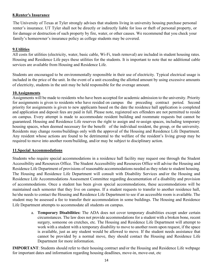# **8.Renter's Insurance**

The University of Texas at Tyler strongly advises that students living in university housing purchase personal renter's insurance. UT Tyler shall not be directly or indirectly liable for loss or theft of personal property, or for damage or destruction of such property by fire, water, or other causes. We recommend that you check your family's homeowner's insurance policy as college students may be covered.

# **9.Utilities**

All costs for utilities (electricity, water, basic cable, Wi-Fi, trash removal) are included in student housing rates. Housing and Residence Life pays these utilities for the students. It is important to note that no additional cable services are available from Housing and Residence Life.

Students are encouraged to be environmentally responsible in their use of electricity. Typical electrical usage is included in the price of the unit. In the event of a unit exceeding the allotted amount by using excessive amounts of electricity, students in the unit may be held responsible for the overage amount.

# **10.Assignments**

Assignments will be made to residents who have been accepted for academic admission to the university. Priority for assignments is given to residents who have resided on campus the preceding contract period. Second priority for assignments is given to new applicants based on the date the residence hall application is completed and application and deposit fees are paid in full. Please note, registered sex offenders are not permitted to reside on campus. Every attempt is made to accommodate resident building and roommate requests but cannot be guaranteed. Housing and Residence Life reserves the right to assign and re-assign spaces, including temporary housing spaces, when deemed necessary for the benefit of the individual resident, the group, or the university. Residents may change rooms/buildings only with the approval of the Housing and Residence Life Department. Any resident whose actions are found to be detrimental to the welfare of the resident's living group may be required to move into another room/building, and/or may be subject to disciplinary action.

#### **11.Special Accommodations**

Students who require special accommodations in a residence hall facility may request one through the Student Accessibility and Resources Office. The Student Accessibility and Resources Office will advise the Housing and Residence Life Department of provisions of reasonable accommodations needed as they relate to student housing. The Housing and Residence Life Department will consult with Disability Services and/or the Housing and Residence Life Accommodations Assessment Committee regarding documentation of a disability and provision of accommodations. Once a student has been given special accommodations, these accommodations will be maintained each semester that they live on campus. If a student requests to transfer to another residence hall, he/she needs to contact the Housing and Residence Life Department to see if an accessible room is available. The student may be assessed a fee to transfer their accommodation in some buildings. The Housing and Residence Life Department attempts to accommodate all students on campus.

a. **Temporary Disabilities:** The ADA does not cover temporary disabilities except under certain circumstances. The law does not provide accommodations for a student with a broken bone, recent surgery, someone on crutches, etc. The Housing and Residence Life Department will attempt to work with a student with a temporary disability to move to another room upon request, if the space is available, just as any student would be allowed to move. If the student needs assistance that cannot be provided by a normal move, they should contact the Housing and Residence Life Department for more information.

**IMPORTANT**: Students should refer to their housing contract and/or the Housing and Residence Life webpage for important dates and information regarding housing deadlines, move-in, move-out, etc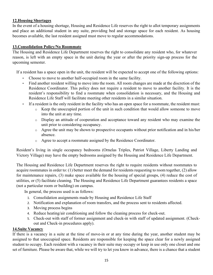# **12.Housing Shortages**

In the event of a housing shortage, Housing and Residence Life reserves the right to allot temporary assignments and place an additional student in any suite, providing bed and storage space for each resident. As housing becomes available, the last resident assigned must move to regular accommodations.

# **13.Consolidation Policy/No Roommate**

The Housing and Residence Life Department reserves the right to consolidate any resident who, for whatever reason, is left with an empty space in the unit during the year or after the priority sign-up process for the upcoming semester.

If a resident has a space open in the unit, the resident will be expected to accept one of the following options:

- Choose to move to another half-occupied room in the same facility.
- Find another resident willing to move into the room. All room changes are made at the discretion of the Residence Coordinator. This policy does not require a resident to move to another facility. It is the resident's responsibility to find a roommate when consolidation is necessary, and the Housing and Residence Life Staff will facilitate meeting other residents in a similar situation.
- If a resident is the only resident in the facility who has an open space for a roommate, the resident must:
	- o Keep the unoccupied portion of the unit in such condition that would allow someone to move into the unit at any time.
	- o Display an attitude of cooperation and acceptance toward any resident who may examine the unit prior to considering occupancy.
	- o Agree the unit may be shown to prospective occupants without prior notification and in his/her absence.
	- o Agree to accept a roommate assigned by the Residence Coordinator.

Resident's living in single occupancy bedrooms (Ornelas Triples, Patriot Village, Liberty Landing and Victory Village) may have the empty bedrooms assigned by the Housing and Residence Life Department.

The Housing and Residence Life Department reserves the right to require residents without roommates to acquire roommates in order to: (1) better meet the demand for residents requesting to room together, (2) allow for maintenance repairs, (3) make space available for the housing of special groups, (4) reduce the cost of utilities, or (5) facilitate cleaning. The Housing and Residence Life Department guarantees residents a space (not a particular room or building) on campus.

In general, the process used is as follows:

- 1. Consolidation assignments made by Housing and Residence Life Staff
- 2. Notification and explanation of room transfers, and the process sent to residents affected.
- 3. Moving process begins
- 4. Reduce heating/air conditioning and follow the cleaning process for check-out.
- 5. Check-out with staff of former assignment and check-in with staff of updated assignment. (Checkout and Check-in procedures apply).

# **14.Suite Vacancy**

If there is a vacancy in a suite at the time of move-in or at any time during the year, another student may be assigned to that unoccupied space. Residents are responsible for keeping the space clear for a newly assigned student to occupy. Each resident with a vacancy in their suite may occupy or keep in use only one closet and one set of furniture. Please be aware that, while we will try to let you know in advance, there is a chance that a student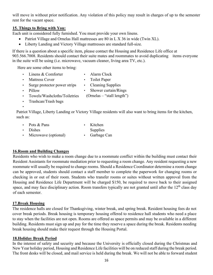will move in without prior notification. Any violation of this policy may result in charges of up to the semester rent for the vacant space.

# **15. Things to Bring with You:**

Each unit is considered fully furnished. You must provide your own linens.

- Patriot Village and Ornelas Hall mattresses are 80 in L X 36 in wide (Twin XL).
- Liberty Landing and Victory Village mattresses are standard full-size.

If there is a question about a specific item, please contact the Housing and Residence Life office at 903.566.7008. Residents should contact their suite mates and roommates to avoid duplicating items everyone in the suite will be using (i.e. microwave, vacuum cleaner, living area TV, etc.).

Here are some other items to bring:

- Linens & Comforter • Alarm Clock
- Mattress Cover • Toilet Paper
- Surge protector power strips
	- Cleaning Supplies
	- Shower curtain/Rings (Ornelas – "stall length")
- Towels/Washcloths/Toiletries
- Trashcan/Trash bags

• Pillow

•

Patriot Village, Liberty Landing or Victory Village residents will also want to bring items for the kitchen, such as:

• Pots & Pans • Dishes • Microwave (optional) • Kitchen Supplies • Garbage Can

# **16.Room and Building Changes**

Residents who wish to make a room change due to a roommate conflict within the building must contact their Resident Assistants for roommate mediation prior to requesting a room change. Any resident requesting a new roommate will usually be required to change rooms. Should a Residence Coordinator determine a room change can be approved, students should contact a staff member to complete the paperwork for changing rooms or checking in or out of their room. Students who transfer rooms or suites without written approval from the Housing and Residence Life Department will be charged \$150, be required to move back to their assigned space, and may face disciplinary action. Room transfers typically are not granted until after the  $12<sup>th</sup>$  class day of each semester.

# **17.Break Housing**

The residence halls are closed for Thanksgiving, winter break, and spring break. Resident housing fees do not cover break periods. Break housing is temporary housing offered to residence hall students who need a place to stay when the facilities are not open. Rooms are offered as space permits and may be available in a different building. Residents must sign up and pay for the time they reserve a space during the break. Residents needing break housing should make their request through the Housing Portal.

#### **18.Holiday Break Period**

In the interest of safety and security and because the University is officially closed during the Christmas and New Year holiday period, Housing and Residence Life facilities will be on reduced staff during the break period. The front desks will be closed, and mail service is held during the break. We will not be able to forward student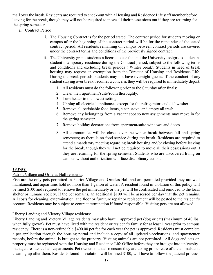mail over the break. Residents are required to check-out with a Housing and Residence Life staff member before leaving for the break, though they will not be required to move all their possessions out if they are returning for the spring semester.

- a. Contract Period
	- i. The Housing Contract is for the period stated. The contract period for students moving on campus after the beginning of the contract period will be for the remainder of the stated contract period. All residents remaining on campus between contract periods are covered under the contract terms and conditions of the previously signed contract.
	- ii. The University grants students a license to use the unit the University assigns to student as student's temporary residence during the Contract period, subject to the following terms and conditions and excluding break periods ( Winter break). Students in need of break housing may request an exemption from the Director of Housing and Residence Life. During the break periods, students may not have overnight guests. If the conduct of any student staying over break becomes a concern, they will be required to immediately depart.
		- 1. All residents must do the following prior to the Saturday after finals:
		- 2. Clean their apartment/suit[e/roo](http://www.uttyler.edu/judicialaffairs)m thoroughly.
		- 3. Turn heater to the lowest setting.
		- 4. Unplug all electrical appliances, except for the refrigerator, and dishwasher.
		- 5. Remove all perishable food items, clean stove, and empty all trash.
		- 6. Remove any belongings from a vacant spot so new assignments may move in for the spring semester.
		- 7. [Remove holiday decorations fr](http://www.uttyler.edu/judicialaffairs)om apartment/suite windows and doors.
		- 8. All communities will be closed over the winter break between fall and spring semesters; as there is no food service during the break. Residents are required to attend a mandatory meeting regarding break housing and/or closing before leaving for the break, though they will not be required to move all their possessions out if they are returning for the spring semester. Students who are discovered living on campus without authorization will face disciplinary action.

#### **19.Pets:**

#### Patriot Village and Ornelas Hall residents:

Fish are the only pets permitted in Patriot Village and Ornelas Hall and are permitted provided they are well maintained, and aquariums hold no more than 1 gallon of water. A resident found in violation of this policy will be fined \$100 and required to remove the pet immediately or the pet will be confiscated and removed to the local shelter or humane society. If the pet remains, an additional \$100 will be assessed per day that the pet remains. All costs for cleaning, extermination, and floor or furniture repair or replacement will be posted to the resident's account. Residents may be subject to contract termination if found responsible. Visiting pets are not allowed.

#### Liberty Landing and Victory Village residents:

Liberty Landing and Victory Village residents may also have 1 approved pet (dog or cat) (maximum of 40 lbs. when fully grown). Pet must have lived with the resident or resident's family for at least 1 year prior to campus residency. There is a non-refundable \$400.00 pet fee for each year the pet is approved. Residents must complete a pet application through the housing portal and include a copy of all updated vaccinations, and spay/neuter records, before the animal is brought to the property. Visiting animals are not permitted. All dogs and cats on property must be registered with the Housing and Residence Life Office before they are brought into universitymanaged residence halls/apartments. Pet owners must also ensure they are taking proper care of the animals and cleaning up after them. Residents found in violation will be fined \$100, will have to follow the judicial process,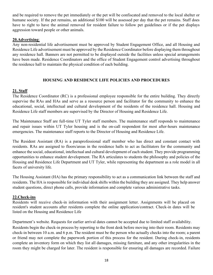and be required to remove the pet immediately or the pet will be confiscated and removed to the local shelter or humane society. If the pet remains, an additional \$100 will be assessed per day that the pet remains. Staff does have to right to have the animal removed for resident failure to follow pet guidelines or if the pet displays aggression toward people or other animals.

#### **20.Advertising**:

Any non-residential life advertisement must be approved by Student Engagement Office, and all Housing and Residence Life advertisement must be approved by the Residence Coordinator before displaying them throughout any residence hall. Banners are not permitted to be displayed outside the facilities unless special arrangements have been made. Residence Coordinators and the office of Student Engagement control advertising throughout the residence hall to maintain the physical condition of each building.

# **HOUSING AND RESIDENCE LIFE POLICIES AND PROCEDURES**

# **21. Staff**

The Residence Coordinator (RC) is a professional employee responsible for the entire building. They directly supervise the RAs and HAs and serve as a resource person and facilitator for the community to enhance the educational, social, intellectual and cultural development of the residents of the residence hall. Housing and Residence Life staff members are supervised by the Director of Housing and Residence Life.

The Maintenance Staff are full-time UT Tyler staff members. The maintenance staff responds to maintenance and repair issues within UT Tyler housing and is the on-call respondent for most after-hours maintenance emergencies. The maintenance staff reports to the Director of Housing and Residence Life.

The Resident Assistant (RA) is a paraprofessional staff member who has direct and constant contact with residents. RAs are assigned to floors/areas in the residence halls to act as facilitators for the community and enhance the social, educational, intellectual and cultural development of each student. They provide programming opportunities to enhance student development. The RA articulates to students the philosophy and policies of the Housing and Residence Life Department and UT Tyler, while representing the department as a role model in all facets of university life.

The Housing Assistant (HA) has the primary responsibility to act as a communication link between the staff and residents. The HA is responsible for individual desk shifts within the building they are assigned. They help answer student questions, direct phone calls, provide information and complete various administrative tasks.

#### **22.Check-ins**

Residents will receive check-in information with their assignment letter. Assignments will be placed on resident's student accounts after residents complete the online application/contract. Check-in dates will be listed on the Housing and Residence Life

Department's website. Requests for earlier arrival dates cannot be accepted due to limited staff availability.

Residents begin the check-in process by reporting to the front desk before moving into their room. Residents may check-in between 10 a.m. and 6 p.m. The resident must be the person who actually checks into the room; a parent or friend may not complete the paperwork portion of this process for the resident. During check-in, residents complete an inventory form on which they list all damages, missing furniture, and any other irregularities in the room they might be charged for later. The resident is responsible for ensuring all damages are recorded. Failure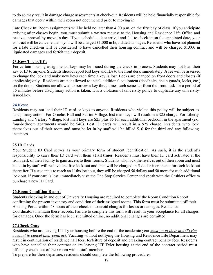to do so may result in damage charge assessments at check-out. Residents will be held financially responsible for damages that occur within their room not documented prior to moving in.

Late Check In: Room assignments will be held no later than 4:00 p.m. on the first day of class. If you anticipate arriving after classes [begin, you](http://www.uttyler.edu/police/student-of-concern-report.php) must submit a written request to the Housing and Residence Life Office and receive approval by move-in day. If you schedule a late arrival and fail to check in on the appointed date, your contract will be cancelled, and you will be charged \$1,000 in liquidated damages. Residents who have not planned for a late check-in will be considered to have cancelled their housing contract and will be charged \$1,000 in liquidated damages and forfeit their deposit.

#### **23.Keys/Locks/ID's**

For certain housing assignments, keys may be issued during the check-in process. Students may not loan their key or ID to anyone. Students should report lost keys and IDs to the front desk immediately. A fee will be assessed to change the lock and make new keys each time a key is lost. Locks are changed on front doors and closets (if applicable) only. Residents are not allowed to install additional equipment (deadbolts, chain guards, locks, etc.) on the doors. Students are allowed to borrow a key three times each semester from the front desk for a period of 15 minutes before disciplinary action is taken. It is a violation of university policy to duplicate any universityissued key.

#### **24.Keys:**

Residents may not lend their ID card or keys to anyone. Residents who violate this policy will be subject to disciplinary action. For Ornelas Hall and Patriot Village, lost mail keys will result in a \$25 charge. For Liberty Landing and Victory Village, lost mail keys are \$25 plus \$5 for each additional bedroom in the apartment (ex: four-bedroom apartments would be \$40). Lost ID cards will result in a \$25 charge. Residents who lock themselves out of their room and must be let in by staff will be billed \$10 for the third and any following instances.

#### **25.ID Cards**

Your Student ID Card serves as your primary form of student identification. As such, it is the student's responsibility to carry their ID card with them **at all times**. Residents must have their ID card activated at the front desk of their facility to gain access to their rooms. Students who lock themselves out of their room and must be let in by staff will receive one free lock-out and then will be charged in 5-dollar increments for each lock-out thereafter. If a student is to reach an 11ths lock out, they will be charged 50 dollars and 50 more for each additional lock out. If your card is lost, immediately visit the One Stop Service Center and speak with the Cashiers office to purchase a new ID Card.

#### **26.Room Condition Report**

Students checking in and out of University Housing are required to complete the Room Condition Report confirming the present inventory and condition of their assigned rooms. This form must be submitted off their Housing Portal within 48 hours of their check-in to avoid charges for losses or damages. Residence Coordinators maintain these records. Failure to complete this form will result in your acceptance for all charges for damages. Once the form has been submitted online, no additional changes are permitted.

#### **27.Check-Outs**

Residents who are leaving UT Tyler housing before the end [of the academic year](http://www.uttyler.edu/sbs) *[must go to their myUTTyler](https://www.uttyler.edu/sbs/)  [account to cancel their contract.](https://www.uttyler.edu/sbs/)* Vacating without notifying the Housing and Residence Life Department may result in continuation of residence hall fees, forfeiture of deposit and breaking contract penalty fees. Residents who have cancelled their contract or are leaving UT Tyler housing at the end of the contract period must officially check out of their room with a staff member.

To prepare for their departure, residents should complete the following procedures: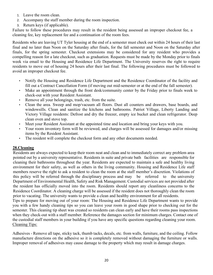- 1. Leave the room clean.
- 2. Accompany the staff member during the room inspection.
- 3. Return keys (if applicable).

Failure to follow these procedures may result in the resident being assessed an improper checkout fee, a cleaning fee, key replacement fee and a continuation of the room fees.

Residents who are leaving UT Tyler housing at the end of a semester must check out within 24 hours of their last final and no later than Noon on the Saturday after finals, for the fall semester and Noon on the Saturday after finals, for the spring semester. Checkout extensions may be considered for any resident who provides a compelling reason for a late checkout, such as graduation. Requests must be made by the Monday prior to finals week via email to the Housing and Residence Life Department. The University reserves the right to require residents to move out of housing 24 hours after their last final. The following procedures must be followed to avoid an improper checkout fee.

- Notify the Housing and Residence Life Department and the Residence Coordinator of the facility and fill out a Contract Cancellation Form (if moving out mid-semester or at the end of the fall semester).
- Make an appointment through the front desk/community center by the Friday prior to finals week to check-out with your Resident Assistant.
- Remove all your belongings, trash, etc. from the suite.
- Clean the area. Sweep and mop/vacuum all floors. Dust all counters and drawers, base boards, and windowsills. Clean and sanitize the kitchens and bathrooms. Patriot Village, Liberty Landing and Victory Village residents: Defrost and dry the freezer, empty ice bucket and clean refrigerator. Deep clean oven and stove top.
- Meet your Resident Assistant at the appointed time and location and bring your keys with you.
- Your room inventory form will be reviewed, and charges will be assessed for damages and/or missing items by the Resident Assistant.
- The resident will complete the checkout form and any other documents needed.

# **28.Cleaning**

Residents are always expected to keep their room neat and clean and to immediately correct any problem area pointed out by a university representative. Residents in suite and private bath facilities are responsible for cleaning their bathrooms throughout the year. Residents are expected to maintain a safe and healthy living environment for their safety, as well as others in the living community. Housing and Residence Life staff members reserve the right to ask a resident to clean the room at the staff member's discretion. Violations of this policy will be referred through the disciplinary process and may be referred to the university Department of Environmental Health, Safety and Risk Management. Custodial services are not provided after the resident has officially moved into the room. Residents should report any cleanliness concerns to the Residence Coordinator. A cleaning charge will be assessed if the resident does not thoroughly clean the room prior to vacating. The university wants to provide a clean and healthy environment for all residents.

Tips to prepare for moving out of your room: The Housing and Residence Life Department wants to provide you with a few handy cleaning tips so you can leave your room in good shape prior to checking out for the semester. This cleaning tip sheet was created so residents can clean early and have their rooms pass inspections when they check-out with a staff member. Reference the damages section for minimum charges. Contact one of the custodial staff members in your building if you have any specific questions regarding cleaning your room. Cleaning Tips:

Adhesives - Remove all tape, sticky tack, thumb tacks, decals, etc. from walls, furniture, and the ceiling. Follow manufacture directions on the adhesive so it is completely removed without damaging the furniture or walls. Improper removal of adhesives may cause damage to the property which may result in damage charges.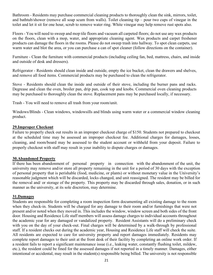Bathroom - Residents may purchase commercial cleaning products to thoroughly clean the sink, mirrors, toilet, and bathtub/shower (remove all soap scum from walls). Toilet cleaning tip – pour two cups of vinegar in the toilet and let it sit for one hour, scrub to remove water ring. White vinegar may help remove rust spots also.

Floors - You will need to sweep and mop tile floors and vacuum all carpeted floors; do not use any wax products on the floors, clean with a mop, water, and appropriate cleaning agent. Wax products and carpet freshener products can damage the floors in the rooms. Please do not sweep trash into hallway. To spot clean carpets, use warm water and blot the area, or you can purchase a can of spot cleaner (follow directions on the container).

Furniture - Clean the furniture with commercial products (including ceiling fan, bed, mattress, chairs, and inside and outside of desk and dressers).

Refrigerator - Residents should clean inside and outside, empty the ice bucket, clean the drawers and shelves, and remove all food items. Commercial products may be purchased to clean the refrigerator.

Stove - Residents should clean the inside and outside of their stove, including the burner pans and racks. Degrease and clean the oven, broiler pan, drip pan, cook top and knobs. Commercial oven cleaning products may be purchased to thoroughly clean the stove. Replacement pans may be purchased locally, if necessary.

Trash - You will need to remove all trash from your room/unit.

Windows/Blinds - Clean windows, windowsills and blinds using warm water or a commercial window cleaning product.

#### **29.Improper Checkout**

Failure to properly check out results in an improper checkout charge of \$150. Students not prepared to checkout at the scheduled time may be assessed an improper checkout fee. Additional charges for damages, losses, cleaning, and room/board may be assessed to the student account or withheld from your deposit. Failure to properly checkout with staff may result in your inability to dispute charges or damages.

#### **30.Abandoned Property**

If there has been abandonment of personal property in connection with the abandonment of the unit, the university may remove and/or store all property remaining in the unit for a period of 30 days with the exception of personal property that is perishable (food, medicine, or plants) or without monetary value in the University's reasonable judgment which will be discarded, locks changed, and unit reassigned. The resident may be billed for the removal and/ or storage of the property. This property may be discarded through sales, donation, or in such manner as the university, at its sole discretion, may determine.

#### **31.Damages**

Students are responsible for completing a room inspection form documenting all existing damage to the room when they check-in. Students will be charged for any damage to their room and/or furnishings that were not present and/or noted when they moved in. This includes the window, window screen and both sides of the front door. Housing and Residence Life staff members will assess damage charges to individual accounts throughout the academic year for any damaged or vandalized property. Resident Assistants will do a preliminary check with you on the day of your check-out. Final charges will be determined by a walk-through by professional staff. If a resident checks out during the academic year, Housing and Residence Life staff will check the suite. All residents are expected to care for university property and report damages immediately. Residents may complete report damages to their unit at the front desk of their facility by completing an online work order. If a resident fails to report a significant maintenance issue (i.e., leaking water, constantly flushing toilet, mildew, etc.), the resident could be fined for the assessed damages if not reported in a timely manner. Damages, either intentional or accidental, may result in the student(s) responsible being billed. The university is not responsible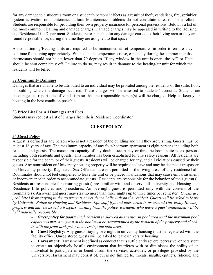for any damage to a student's room or a student's personal effects as a result of theft, vandalism, fire, sprinkler system activation or maintenance failure. Maintenance problems do not constitute a reason for a refund. Students are responsible for providing their own property insurance for personal possessions. Below is a list of the most common cleaning and damage charges. Damage charges may be appealed in writing to the Housing and Residence Life Department. Students are responsible for any damage caused to their living area or they are found responsible for, during the time they are assigned to that space.

Air-conditioning/Heating units are required to be maintained at set temperatures in order to ensure they continue functioning appropriately. When outside temperatures raise, especially during the summer months, thermostats should not be set lower than 70 degrees. If any window in the unit is open, the A/C or Heat should be shut completely off. Failure to do so, may result in damage to the heating/air unit for which the residents will be billed.

#### **32.Community Damages**

Damages that are unable to be attributed to an individual may be prorated among the residents of the suite, floor, or building where the damage occurred. These charges will be assessed to students' accounts. Students are encouraged to report acts of vandalism so that the responsible person(s) will be charged. Help us keep your housing in the best condition possible.

#### **33.Price List For All Damages and Fees**

Students may request a list of charges from their Residence Coordinator

#### **GUEST POLICY**

#### **34.Guest Policy**

A guest is defined as any person who is not a resident of the building and unit they are visiting. Guests must be at least 16 years of age. The maximum capacity of any four-bedroom apartment is eight persons including both residents and guests. The maximum capacity of any double occupancy or three-bedroom suite is six persons including both residents and guests. This number has been established for fire safety reasons. All residents are responsible for the behavior of their guests. Residents will be charged for any, and all violations caused by their guests. Any nonresident on University housing property will be required to leave and may be deemed a trespasser on University property. Registered Sex Offenders are not permitted in the living areas of any residence hall. Roommates should not feel compelled to leave the unit or be placed in situations that may cause embarrassment or inconvenience in order to accommodate guests. Residents are responsible for the behavior of their guest(s). Residents are responsible for ensuring guest(s) are familiar with and observe all university and Housing and Residence Life policies and procedures. An overnight guest is permitted only with the consent of the roommate(s). An overnight guest may stay no more than three nights up to three times per semester. *Guests are prohibited from staying in the apartments or residence halls without the resident. Guests will be asked to leave by University Police or Housing and Residence Life staff if found unescorted in or around University Housing property and may be issued a trespass warning from the police. Residents who leave a guest unattended will be held judicially responsible.*

> a *Guest policy for pools: Each resident is allowed one visitor in pool area until the maximum pool capacity is met. Any guest at the pool must be accompanied by the resident of the property and checkin with the front desk prior to accessing the pool area.*

> b **Guest Registry:** Any guests staying overnight in university housing must be registered with the facility office. Unregistered guests will be asked to leave university housing.

> c **Harassment:** Harassment is defined as conduct that is sufficiently severe, pervasive, or persistent to create an objectively hostile environment that interferes with or diminishes the ability of an individual to participate in or benefit from the services, activities, or privileges provided by the University. Harassment may consist of, but is not limited to, threats, insults, epithets, ridicule, and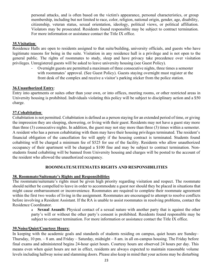personal attacks, and is often based on the victim's appearance, personal characteristics, or group membership, including but not limited to race, color, religion, national origin, gender, age, disability, citizenship, veteran status, sexual orientation, ideology, political views, or political affiliation. Violators may be prosecuted. Residents found responsible may be subject to contract termination. For more information or assistance contact the Title IX office.

#### **35.Visitation**:

Residence Halls are open to residents assigned to that suite/building, university officials, and guests who have legitimate reasons for being in the suite. Visitation in any residence hall is a privilege and is not open to the general public. The rights of roommates to study, sleep and have privacy take precedence over visitation privileges. Unregistered guests will be asked to leave university housing (see Guest Policy).

> - Overnight guests are permitted a maximum of three consecutive nights, three times a semester with roommates' approval. (See Guest Policy). Guests staying overnight must register at the front desk of the complex and receive a visitor's parking sticker from the police station.

#### **36.Unauthorized Entry**:

Entry into apartments or suites other than your own, or into offices, meeting rooms, or other restricted areas in University housing is prohibited. Individuals violating this policy will be subject to disciplinary action and a \$50 charge.

#### **37.Cohabitation**:

Cohabitation is not permitted. Cohabitation is defined as a person staying for an extended period of time, or giving the impression they are sleeping, showering, or living with their guest. Residents may not have a guest stay more than three (3) consecutive nights. In addition, the guest may not stay more than three (3) times within a semester. A resident who has a person cohabitating with them may have their housing privileges terminated. The resident's financial obligation of the cancellation fee will apply if the housing contract is terminated. Students found cohabiting will be charged a minimum fee of \$525 for use of the facility. Residents who allow unauthorized occupancy of their apartment will be charged a \$100 fine and may be subject to contract termination. Nonstudents found cohabiting will be banned from University housing and charges will be posted to the account of the resident who allowed the unauthorized occupancy.

#### **ROOMMATE/SUITEMATES RIGHTS AND RESPONSIBILITIES**

#### **38. Roommate/Suitemate's Rights and Responsibilities**

The roommate/suitemate's rights must be given high priority regarding visitation and respect. The roommate should neither be compelled to leave in order to accommodate a guest nor should they be placed in situations that might cause embarrassment or inconvenience. Roommates are required to complete their roommate agreement within the first two weeks of living in the assignment. Roommates are encouraged to attempt to resolve conflicts before involving a Resident Assistant. If the RA is unable to assist roommates in resolving problems, contact the Residence Coordinator.

> a **Sexual Assault:** Physical contact of a sexual nature with another party that is against the other party's will or without the other party's consent is prohibited. Residents found responsible may be subject to contract termination. For more information or assistance contact the Title IX office.

#### **39.Noise/Quiet/Courtesy Hours:**

In keeping with the academic goals and standards of students residing on campus, quiet hours are Sunday– Thursday, 10 pm. – 8 am. and Friday – Saturday, midnight – 8 am. in all on-campus housing. The Friday before final exams and administered begins 24-hour quiet hours. Courtesy hours are observed 24 hours per day. This means even when quiet hours are not in effect, residents are always expected to maintain reasonable volume levels including hallway noise and slamming doors. Please also keep in mind that your actions may be disturbing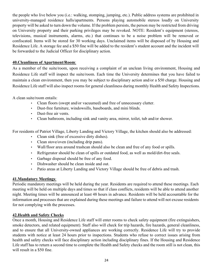the people who live below you (i.e.: walking, stomping, jumping, etc.). Public address systems are prohibited in university-managed residence halls/apartments. Persons playing automobile stereos loudly on University property will be asked to turn down the volume. If the problem persists, the person may be restricted from driving on University property and their parking privileges may be revoked. NOTE: Resident's equipment (stereos, televisions, musical instruments, alarms, etc.) that continues to be a noise problem will be removed or confiscated. Items will be stored for 30 working days. Unclaimed items will be disposed of by Housing and Residence Life. A storage fee and a \$50 fine will be added to the resident's student account and the incident will be forwarded to the Judicial Officer for disciplinary action.

#### **40.Cleanliness of Apartment/Room**:

As a member of the suite/room, upon receiving a complaint of an unclean living environment, Housing and Residence Life staff will inspect the suite/room. Each time the University determines that you have failed to maintain a clean environment, then you may be subject to disciplinary action and/or a \$50 charge. Housing and Residence Life staff will also inspect rooms for general cleanliness during monthly Health and Safety Inspections.

A clean suite/room entails:

- Clean floors (swept and/or vacuumed) and free of unnecessary clutter.
- Dust-free furniture, windowsills, baseboards, and mini blinds.
- Dust-free air vents.
- Clean bathroom, including sink and vanity area, mirror, toilet, tub and/or shower.

For residents of Patriot Village, Liberty Landing and Victory Village, the kitchen should also be addressed:

- Clean sink (free of excessive dirty dishes).
- Clean stove/oven (including drip pans).
- Wall/floor area around trashcan should also be clean and free of any food or spills.
- Refrigerator should be clean of spills or outdated food, as well as mold/dirt-free seals.
- Garbage disposal should be free of any food.
- Dishwasher should be clean inside and out.
- Patio areas at Liberty Landing and Victory Village should be free of debris and trash.

#### **41.Mandatory Meetings**:

Periodic mandatory meetings will be held during the year. Residents are required to attend these meetings. Each meeting will be held on multiple days and times so that if class conflicts, residents will be able to attend another night. Meeting times will be announced at least 48 hours in advance. Residents will be held accountable for the information and processes that are explained during these meetings and failure to attend will not excuse residents for not complying with the processes.

#### **42.Health and Safety Checks**

Once a month, Housing and Residence Life staff will enter rooms to check safety equipment (fire extinguishers, smoke detectors, and related equipment). Staff also will check for trip hazards, fire hazards, general cleanliness, and to ensure that all University-owned appliances are working correctly. Residence Life will try to provide students with notice at least 24 hours prior to inspections. Students who refuse to correct issues arising from health and safety checks will face disciplinary action including disciplinary fines. If the Housing and Residence Life staff has to return a second time to complete the Health and Safety checks and the room still is not clean, this will result in a \$50 fine.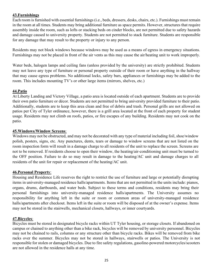# **43.Furnishings**

Each room is furnished with essential furnishings (i.e., beds, dressers, desks, chairs, etc.). Furnishings must remain in the room at all times. Students may bring additional furniture as space permits. However, structures that require assembly inside the room, such as lofts or stacking beds on cinder blocks, are not permitted due to safety hazards and damage caused to university property. Students are not permitted to stack furniture. Students are responsible for any damage that may result to the property or injury to any person.

Residents may not block windows because windows may be used as a means of egress in emergency situations. Furnishings may not be placed in front of the air vents as this may cause the air/heating unit to work improperly.

Water beds, halogen lamps and ceiling fans (unless provided by the university) are strictly prohibited. Students may not leave any type of furniture or personal property outside of their room or have anything in the hallway that may cause egress problems. No additional locks, safety bars, appliances or furnishings may be added to the room. This includes mounting TV's or other large items (mirrors, shelves, etc.)

#### **44.Patio**

At Liberty Landing and Victory Village, a patio area is located outside of each apartment. Students are to provide their own patio furniture or décor. Students are not permitted to bring university provided furniture to their patio. Additionally, students are to keep this area clean and free of debris and trash. Personal grills are not allowed on patios per City of Tyler ordinance, however, there is a grill area located at the front of each property for student usage. Residents may not climb on roofs, patios, or fire escapes of any building. Residents may not cook on the patio.

#### **45.Windows/Window Screens**:

Windows may not be obstructed, and may not be decorated with any type of material including foil, shoe/window polish, posters, signs, etc. Any punctures, dents, tears or damage to window screens that are not listed on the room inspection form will result in a damage charge to all residents of the unit to replace the screen. Screens are not to be removed. If residents choose to open their window, the heating/air-conditioning unit must be turned to the OFF position. Failure to do so may result in damage to the heating/AC unit and damage charges to all residents of the unit for repair or replacement of the heating/AC unit.

#### **46.Personal Property**:

Housing and Residence Life reserves the right to restrict the use of furniture and large or potentially disrupting items in university-managed residence halls/apartments. Items that are not permitted in the units include: pianos, organs, drums, dartboards, and water beds. Subject to these terms and conditions, residents may bring their personal furnishings into university-managed residence halls/apartments. The University assumes no responsibility for anything left in the suite or room or common areas of university-managed residence halls/apartments after checkout. Items left in the suite or room will be disposed of at the owner's expense. Items may not be stored in the stairwells, mechanical closets, hallways, or inner courtyards.

#### **47.Bicycles**:

Bicycles must be stored in designated bicycle racks within UT Tyler housing, or storage closets. If abandoned on campus or chained to anything other than a bike rack, bicycles will be removed by university personnel. Bicycles may not be chained to rails, columns or any structure other than bicycle racks. Bikes will be removed from bike racks over the summer. Bicycles may not be stored in hallways, stairwells or patios. The University is not responsible for stolen or damaged bicycles. Due to fire safety regulations, gasoline-powered motorcycles/scooters are not allowed in the residence halls at any time.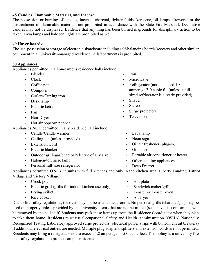# **48.Candles, Flammable Material, and Incense**:

The possession or burning of candles, incense, charcoal, lighter fluids, kerosene, oil lamps, fireworks or the mistreatment of flammable materials are prohibited in accordance with the State Fire Marshall. Decorative candles may not be displayed. Evidence that anything has been burned is grounds for disciplinary action to be taken. Lava lamps and halogen lights are prohibited as well.

#### **49.Hover boards:**

The use, possession or storage of electronic skateboard including self-balancing boards/scooters and other similar equipment in all university-managed residence halls/apartments is prohibited.

#### **50.Appliances:**

Appliances permitted in all on-campus residence halls include:

- Blender
- Clock
- Coffee pot
- Computer
- Curlers/Curling iron
- Desk lamp
- Electric kettle
- Fan
- Hair Dryer
- Hot air popcorn popper

Appliances **NOT** permitted in any residence hall include:

- Candle/Candle warmer
- Ceiling fan (unless provided)
- **Extension Cord**
- Electric blanket
- Outdoor grill–gas/charcoal/electric of any size
- Halogen/torchiere lamp
- Personal full-size refrigerator
- Iron
- Microwave
- Refrigerator (not to exceed 1.8) amperage/5.0 cubic ft., (unless a fullsized refrigerator is already provided)
- **Shaver**
- **Stereo**
- Surge protectors
- **Television**
- Lava lamp
- Neon sign
- Oil air freshener (plug-in)
- Oil lamp
- Portable air conditioner or heater
- Other cooking appliances
- Deep Freezer

Appliances permitted **ONLY** in units with full kitchens and only in the kitchen area (Liberty Landing, Patriot Village and Victory Village)

- Crock pot
- Electric grill (grills for indoor kitchen use only)
- Frying skillet
- Rice cooker
- Hot plate
- Sandwich maker/grill
- Toaster or Toaster oven
- Air fryer

Due to fire safety regulations, the oven may not be used to heat rooms. No personal grills (charcoal/gas) may be used on property unless provided by the university. Items that are not permitted (see above list) on campus will be removed by the hall staff. Students may pick these items up from the Residence Coordinator when they plan to take them home. Residents must use Occupational Safety and Health Administration (OSHA) Nationally Recognized Testing Laboratory approved surge protectors (electrical power strips with built-in circuit breakers) if additional electrical outlets are needed. Multiple plug adapters, splitters and extension cords are not permitted. Residents may bring a refrigerator not to exceed 1.8 amperage or 5.0 cubic feet. This policy is a university fire and safety regulation to protect campus residents.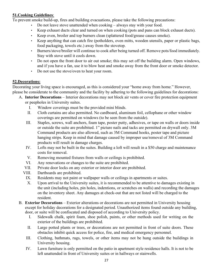# **51.Cooking Guidelines**:

To prevent smoke build-up, fires and building evacuations, please take the following precautions:

- Do not leave stove unattended when cooking always stay with your food.
- Keep exhaust ducts clear and turned on when cooking (pots and pans can block exhaust ducts).
- Keep oven, broiler and top burners clean (splattered food/grease causes smoke).
- Keep anything that can catch fire (potholders, oven mitts, wooden utensils, paper or plastic bags, food packaging, towels etc.) away from the stovetop.
- Burners/stove/broiler will continue to cook after being turned off. Remove pots/food immediately. Stay with stove until it cools down.
- Do not open the front door to air out smoke; this may set off the building alarm. Open windows, and if you have a fan, use it to blow heat and smoke away from the front door or smoke detector.
- Do not use the stove/oven to heat your room.

# **52.Decorations:**

Decorating your living space is encouraged, as this is considered your "home away from home." However, please be considerate to the community and the facility by adhering to the following guidelines for decorations:

- A. **Interior Decorations**  Interior decorations may not block air vents or cover fire protection equipment or peepholes in University suites.
	- I. Window coverings must be the provided mini blinds.
	- II. Cloth curtains are also permitted. No cardboard, aluminum foil, cellophane or other window coverings are permitted on windows (to be seen from the outside).
	- III. Staples, screws, wall anchors, foam tape, poster putty, adhesives, or tape on walls or doors inside or outside the suite are prohibited. 1" picture nails and tacks are permitted on drywall only. 3M Command products are also allowed, such as 3M Command hooks, poster tape and picture hanging strips. Keep in mind that damage caused by improper use/removal of 3M Command products will result in damage charges.
	- IV. Lofts may not be built in the suites. Building a loft will result in a \$50 charge and maintenance costs for removal.
	- V. Removing mounted fixtures from walls or ceilings is prohibited.
	- VI. Any renovations or changes to the suite are prohibited.
	- VII. Private door locks on any exterior or interior door are prohibited.
	- VIII. Dartboards are prohibited.
		- IX. Residents may not paint or wallpaper walls or ceilings in apartments or suites.
		- X. Upon arrival to the University suites, it is recommended to be attentive to damages existing in the unit (including holes, pin holes, indentions, or scratches on walls) and recording the damages on the inventory sheet. Any damages at check-out that are not listed will be charged to the resident.
- B. **Exterior Decorations**  Exterior alterations or decorations are not permitted in University housing except for holiday decorations for a designated period. Unauthorized items found outside any building, door, or suite will be confiscated and disposed of according to University policy.
	- I. Sidewalk chalk, spirit foam, shoe polish, paints, or other methods used for writing on the exterior of the buildings are prohibited.
	- II. Large potted plants or trees, or decorations are not permitted in front of suite doors. These obstacles inhibit quick access for police, fire, and medical emergency personnel.
	- III. Clothing, bathmats, rugs, towels, or other items may not be hung outside the buildings in University housing.
	- IV. Lawn furniture is only permitted on the patio in apartment style residence halls. It is not to be left unattended in front of University suites or in hallways or stairwells.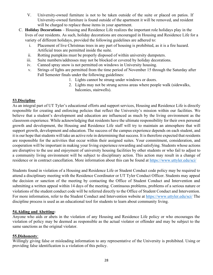- V. University-owned furniture is not to be taken outside of the suite or placed on patios. If University-owned furniture is found outside of the apartment it will be removed, and resident will be charged to replace those items in your apartment.
- C. **Holiday Decorations**  Housing and Residence Life realizes the important role holidays play in the lives of our residents. As such, holiday decorations are encouraged in Housing and Residence Life for a variety of different holidays, provided the following guidelines are adhered to:
	- i. Placement of live Christmas trees in any part of housing is prohibited, as it is a fire hazard. Artificial trees are permitted inside the suite.
	- ii. Rotting pumpkins must be properly disposed of within university dumpsters.
	- iii. Suite numbers/addresses may not be blocked or covered by holiday decorations.
	- iv. Canned spray snow is not permitted on windows in University housing.
	- v. Strings of lights are permitted from the time period of November 15 through the Saturday after Fall Semester finals under the following guidelines:
		- 1. Lights cannot be strung under windows or doors.
		- 2. Lights may not be strung across areas where people walk (sidewalks, balconies, stairwells).

# **53.Discipline**

As an integral part of UT Tyler's educational efforts and support services, Housing and Residence Life is directly responsible for creating and enforcing policies that reflect the University's mission within our facilities. We believe that a student's development and education are influenced as much by the living environment as the classroom experience. While acknowledging that residents have the ultimate responsibility for their own personal growth and development, the Housing and Residence Life staff will try to maintain an atmosphere that will support growth, development and education. The success of the campus experience depends on each student, and it is our hope that students will take an active role in determining that success. It is therefore expected that residents are responsible for the activities that occur within their assigned suites. Your commitment, consideration, and cooperation will be important in making your living experience rewarding and satisfying. Students whose actions are disruptive to the use and enjoyment of university housing facilities by other students or who fail to adjust to a community living environment will be subject to disciplinary action. This action may result in a change of residence or in contract cancellation. More information about this can be found at<https://www.uttyler.edu/sci/>

Students found in violation of a Housing and Residence Life or Student Conduct code policy may be required to attend a disciplinary meeting with the Residence Coordinator or UT Tyler Conduct Officer. Students may appeal the decision or sanction of the meeting by contacting the Office of Student Conduct and Intervention and submitting a written appeal within 14 days of the meeting. Continuous problems, problems of a serious nature or violations of the student conduct code will be referred directly to the Office of Student Conduct and Intervention. For more information, refer to the Student Conduct and Intervention website at<https://www.uttyler.edu/sci/> The discipline process is used as an educational tool for students to learn about community living.

#### **54.Aiding and Abetting:**

Anyone who aids or abets in the violation of any Housing and Residence Life policy or who encourages the violation of policy may be deemed as responsible as the actual violator or offender and may be subject to the same sanctions as the original violator.

#### **55.Dishonesty**:

Willingly giving false or misleading information to any representative of the University is prohibited. Using or providing false identification is a violation of this policy.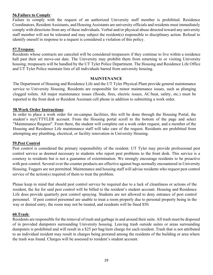#### **56.Failure to Comply**:

Failure to comply with the request of an authorized University staff member is prohibited. Residence Coordinators, Resident Assistants, and Housing Assistants are university officials and residents must immediately comply with directions from any of these individuals. Verbal and/or physical abuse directed toward any university staff member will not be tolerated and may subject the resident(s) responsible to disciplinary action. Refusal to identify oneself in response to a request is considered a violation of this policy.

#### **57.Trespass**:

Residents whose contracts are canceled will be considered trespassers if they continue to live within a residence hall past their set move-out date. The University may prohibit them from returning to or visiting University housing, trespassers will be handled by the UT Tyler Police Department. The Housing and Residence Life Office and UT Tyler Police maintain lists of all individuals barred from university housing.

#### **MAINTENANCE**

The Department of Housing and Residence Life and the UT Tyler Physical Plant provide general maintenance service to University Housing. Residents are responsible for minor maintenance issues, such as plunging clogged toilets. All major maintenance issues (floods, fires, electric issues, AC/heat, safety, etc.) must be reported to the front desk or Resident Assistant cell phone in addition to submitting a work order.

#### **58.Work Order Instructions**:

In order to place a work order for on-campus facilities, this will be done through the Housing Portal, the student's myUTTYLER account. From the Housing portal scroll to the bottom of the page and select "Maintenance Request". From there, the student will complete out a work order request, and a member of the Housing and Residence Life maintenance staff will take care of the request. Residents are prohibited from attempting any plumbing, electrical, or facility renovation in University Housing.

#### **59.Pest Control**

Pest control is considered the primary responsibility of the resident. UT Tyler may provide professional pest control service as deemed necessary to students who report pest problems to the front desk. This service is a courtesy to residents but is not a guarantee of extermination. We strongly encourage residents to be proactive with pest control. Several over the counter products are effective against bugs normally encountered in University Housing. Foggers are not permitted. Maintenance and housing staff will advise residents who request pest control service of the action(s) required of them to treat the problem.

Please keep in mind that should pest control service be required due to a lack of cleanliness or actions of the resident, the fee for said pest control will be billed to the resident's student account. Housing and Residence Life does provide quarterly pest control spraying. Students are not allowed to deny entrance of pest control personnel. If pest control personnel are unable to treat a room properly due to personal property being in the way or denied entry, the room may not be treated, and residents will be fined \$50.

#### **60.Trash**:

Residents are responsible for the removal of trash and garbage in and around their suite. All trash must be disposed of in provided dumpsters surrounding University housing. Leaving trash outside suites or areas surrounding dumpsters is prohibited and will result in a \$25 per bag/item charge for each resident. Trash that is not attributed to an individual resident may result in charges being prorated among the residents of the building or area where the trash was found. Charges will be assessed to resident's student account.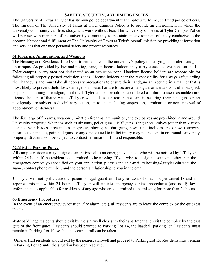#### **SAFETY, SECURITY, AND EMERGENCIES**

The University of Texas at Tyler has its own police department that employs full-time, certified police officers. The mission of The University of Texas at Tyler Campus Police is to provide an environment in which the university community can live, study, and work without fear. The University of Texas at Tyler Campus Police will partner with members of the university community to maintain an environment of safety conducive to the accomplishment and fulfillment of The University of Texas at Tyler's overall mission by providing information and services that enhance personal safety and protect resources.

#### **61.Firearms, Ammunition, and Weapons**

The Housing and Residence Life Department adheres to the university's policy on carrying concealed handguns on campus. As provided by law and policy, handgun license holders may carry concealed weapons on the UT Tyler campus in any area not designated as an exclusion zone. Handgun license holders are responsible for following all properly posted exclusion zones. License holders bear the responsibility for always safeguarding their handguns and must take all necessary precautions to ensure their handguns are secured in a manner that is most likely to prevent theft, loss, damage or misuse. Failure to secure a handgun, or always control a backpack or purse containing a handgun, on the UT Tyler campus would be considered a failure to use reasonable care. License holders affiliated with UT Tyler who fail to use reasonable care in securing their handguns or act negligently are subject to disciplinary action, up to and including suspension, termination or non- renewal of appointment, or dismissal.

The discharge of firearms, weapons, imitation firearms, ammunition, and explosives are prohibited in and around University property. Weapons such as air guns, pellet guns, "BB" guns, sling shots, knives (other than kitchen utensils) with blades three inches or greater, blow guns, dart guns, bows (this includes cross bows), arrows, hazardous chemicals, paintball guns, or any device used to inflict injury may not be kept in or around University property. Students will be subject to contract termination if found responsible.

#### **62.Missing Persons Policy**

All campus residents may designate an individual as an emergency contact who will be notified by UT Tyler within 24 hours if the resident is determined to be missing. If you wish to designate someone other than the emergency contact you specified on your application, please send an e-mail to [housing@uttyler.edu](mailto:housing@uttyler.edu) with the name, contact phone number, and the person's relationship to you in the email.

UT Tyler will notify the custodial parent or legal guardian of any resident who has not yet turned 18 and is reported missing within 24 hours. UT Tyler will initiate emergency contact procedures (and notify law enforcement as applicable) for residents of any age who are determined to be missing for more than 24 hours.

#### **63.Emergency Procedures**

In the event of an emergency evacuation (fire alarm, etc.), all residents are to leave the complex by the quickest means.

-Patriot Village residents should exit by the stairwell closest to their apartment and exit the complex by the east gate or the front gates. Residents should proceed to Parking Lot 14, the baseball parking lot. Residents must remain in Parking Lot 10, so that an accurate roll can be taken.

-Ornelas Hall residents should exit by the nearest stairwell and proceed to Parking Lot 15. Residents must remain in Parking Lot 15 until the situation has been resolved.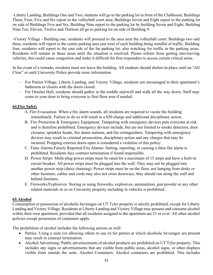-Liberty Landing, Buildings One and Two, students will go to the parking lot in front of the Clubhouse; Buildings Three, Four, Five and Six report to the volleyball court area; Buildings Seven and Eight report to the parking lot on side of Buildings Five and Six; Building Nine report to the parking lot by building Seven and Eight; Building Nine Ten, Eleven, Twelve and Thirteen all go to parking lot on side of Building 9.

-Victory Village - Building one, residents will proceed to the area near the volleyball court. Buildings two and three, residents will report to the center parking area just west of each building being mindful of traffic. Building four, residents will report to the east side of the far parking lot, also watching for traffic in the parking areas. Residents will remain in these areas until the situation is resolved. Please refrain from getting into/moving vehicles, this could cause congestion and make it difficult for first responders to access certain critical areas.

In the event of a tornado, residents must not leave the building. All students should shelter-in-place until an "All Clear" or until University Police provide more information.

- For Patriot Village, Liberty Landing, and Victory Village, residents are encouraged to their apartment's bathroom or closets with the doors closed.
- For Ornelas Hall, residents should gather in the middle stairwell and walk all the way down. Staff may come to your door to bring everyone to first floor area if needed.

# **64.Fire Safety**

- A. Fire Evacuation: When a fire alarm sounds, all residents are required to vacate the building immediately. Failure to do so will result in a \$50 charge and additional disciplinary action.
- B. Fire Protection & Emergency Equipment: Tampering with emergency devices puts everyone at risk and is therefore prohibited. Emergency devices include, but are not limited to smoke detectors, door closures, sprinkler heads, fire alarm stations, and fire extinguishers. Tampering with emergency devices may result in criminal prosecution, disciplinary action and any charges that may be incurred. Propping exterior doors open is considered a violation of this policy.
- C. False Alarms/Falsely Reported Fire Alarms: Setting, reporting, or causing a false fire alarm is prohibited. Residents face contract termination if found responsible.
- D. Power Strips: Multi-plug power strips must be rated for a maximum of 15 amps and have a built-in circuit breaker. All power strips must be plugged into the wall. They may not be plugged into another power strip (daisy chaining). Power strips must be on the floor, not hanging from desks or other furniture, cables and cords may also not cross doorways, they should run along the wall and behind furniture.
- E. Fireworks/Explosives: Storing or using fireworks, explosives, ammunition, gun powder or any other related materials in or on University property including in vehicles is prohibited.

#### **65.Alcohol**

Consumption or possession of alcoholic beverages on UT Tyler property is strictly prohibited, except for Liberty Landing and Victory Village. Residents at Liberty Landing and Victory Village may possess and consume alcohol within their own apartment, provided that all residents assigned to the apartment are 21 or over. All other alcohol policies except possession of containers apply.

The prohibition of alcohol includes the following actions as well:

- Parties: Using a suite (or allowing others to use it) for parties at which alcoholic beverages are present may result in contract termination.
- Alcohol Advertising: Public advertisements of alcohol products are prohibited on UT Tyler property. This includes any signs or advertisements that are visible from public areas, alcohol signs, or other displays visible from outside the suite. Alcohol Containers: Alcohol containers are prohibited. This includes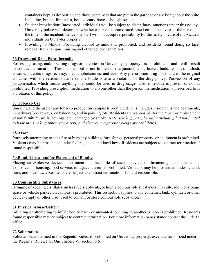containers kept as decoration and those containers that are put in the garbage or are lying about the suite. Including, but not limited to, bottles, cans, boxes, shot glasses, etc.

- Student Intoxication: Intoxicated individuals will be subject to disciplinary sanctions under this policy. University police will determine whether a person is intoxicated based on the behavior of the person at the time of the incident. University staff will not accept responsibility for the safety or care of intoxicated individuals on UT Tyler property.
- Providing to Minors: Providing alcohol to minors is prohibited, and residents found doing so face removal from campus housing and other conduct sanctions.

## **66.Drugs and Drug Paraphernalia**:

Possessing, using, and/or selling drugs or narcotics on University property is prohibited and will result in contract termination. This includes but is not limited to marijuana (stems, leaves, buds, residue), hashish, cocaine, narcotic drugs, ecstasy, methamphetamines, and acid. Any prescription drug not found in the original container with the resident's name on the bottle is also a violation of the drug policy. Possession of any paraphernalia, which means anything that could be used in drug usage whether residue is present or not, is prohibited. Providing prescription medication to anyone other than the person the medication is prescribed to is a violation of this policy.

#### **67.Tobacco Use**:

Smoking and the use of any tobacco product on campus is prohibited. This includes inside units and apartments, in hallways/breezeways, on balconies, and in parking lots. Residents are responsible for the repair or replacement of any furniture, walls, ceilings, etc., damaged by smoke. *Note. smoking paraphernalia including but not limited to hookahs, smoking pipes, vaporizers, and electronic cigarettes/e-cigs are prohibited.*

#### **68.Arson**

Purposely attempting to set a fire or burn any building, furnishings, personal property, or equipment is prohibited. Violators may be prosecuted under federal, state, and local laws. Residents are subject to contract termination if found responsible.

#### **69.Bomb Threat and/or Placement of Bombs**:

Placing an explosive device or an intentional facsimile of such a device, or threatening the placement of explosives in housing, food service, or adjacent areas is prohibited. Violators may be prosecuted under federal, state, and local laws. Residents are subject to contract termination if found responsible.

#### **70.Combustible Substances**:

Bringing or keeping distillates such as fuels, solvents, or highly combustible substances in a suite, room or storage space or vehicle parked on campus is prohibited. This restriction applies to any container, tank, cylinder, or other device (empty or otherwise) used to contain or store combustible substances.

#### **71.Physical Abuse/Battery**:

Inflicting or attempting to inflict bodily harm or unwanted touching to another person is prohibited. Residents found responsible may be subject to contract termination. For more information or assistance contact the Title IX office.

#### **72.Solicitation**

Solicitation, as defined in the Regents' Rules, is prohibited on University property, except as authorized under the Regents' Rules, Part One chapter VI, section 6.6.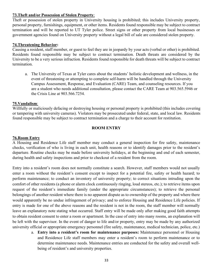#### **73.Theft and/or Possession of Stolen Property**:

Theft or possession of stolen property in University housing is prohibited; this includes University property, personal property, furnishings, equipment, or other items. Residents found responsible may be subject to contract termination and will be reported to UT Tyler police. Street signs or other property from local businesses or government agencies found on University property without a legal bill of sale are considered stolen property.

#### **74.Threatening Behavior:**

Causing a resident, staff member, or guest to feel they are in jeopardy by your acts (verbal or other) is prohibited. Residents found responsible may be subject to contract termination. Death threats are considered by the University to be a very serious infraction. Residents found responsible for death threats will be subject to contract termination.

a. The University of Texas at Tyler cares about the students' holistic development and wellness, in the event of threatening or attempting to complete self-harm will be handled through the University Campus Assessment, Response, and Evaluation (CARE) Team, and counseling resources. If you are a student who needs additional consultation, please contact the CARE Team at 903.565.5946 or the Crisis Line at 903.566.7254.

#### **75.Vandalism**:

Willfully or maliciously defacing or destroying housing or personal property is prohibited (this includes covering or tampering with university cameras). Violators may be prosecuted under federal, state, and local law. Residents found responsible may be subject to contract termination and a charge to their account for restitution.

#### **ROOM ENTRY**

#### **76.Room Entry**

A Housing and Residence Life staff member may conduct a general inspection for fire safety, maintenance checks, verification of who is living in each unit, health reasons or to identify damages prior to the resident's departure. Routine checks may be made before university holidays, at the beginning and end of each semester, during health and safety inspections and prior to checkout of a resident from the room.

Entry into a resident's room does not normally constitute a search. However, staff members would not usually enter a room without the resident's consent except to inspect for a potential fire, safety or health hazard; to perform maintenance; to conduct an inventory of university property; to correct situations intruding upon the comfort of other residents (a phone or alarm clock continuously ringing, loud stereos, etc.); to retrieve items upon request of the resident's immediate family (under the appropriate circumstances); to retrieve the personal belongings of another resident where there is no apparent dispute as to ownership of the property and where there would apparently be no undue infringement of privacy; and to enforce Housing and Residence Life policies. If entry is made for one of the above reasons and the resident is not in the room, the staff member will normally leave an explanatory note stating what occurred. Staff entry will be made only after making good faith attempts to obtain resident consent to enter a room or apartment. In the case of entry into many rooms, an explanation will be left with the supervisor. In the event of danger to life and/or property, entry may be made by any authorized university official or appropriate emergency personnel (fire safety, maintenance, medical technician, police, etc.)

a. **Entry into a resident's room for maintenance purposes:** Maintenance personnel or Housing and Residence Life staff members may enter a resident's room to perform maintenance or to determine maintenance needs. Maintenance entries are conducted for the safety and overall wellbeing of resident's and university properties.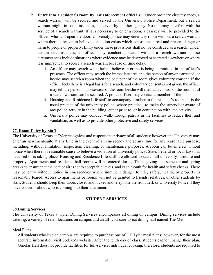- b. **Entry into a resident's room by law enforcement officials:** Under ordinary circumstances, a search warrant will be secured and served by the University Police Department, but a search warrant might, in some instances, be served by another agency. No one may interfere with the service of a search warrant. If it is necessary to enter a room, a passkey will be provided to the officer, who will open the door. University police may enter any room without a search warrant where there is reason to believe a situation exists which constitutes a real and present danger or harm to people or property. Entry under these provisions shall not be construed as a search. Under certain circumstances, an officer may conduct a search without a search warrant. These circumstances include situations where evidence may be destroyed or secreted elsewhere or where it is impractical to secure a search warrant because of time delay.
	- i. An officer may search when he/she believes a crime is being committed in the officer's presence. The officer may search the immediate area and the person of anyone arrested, or he/she may search a room when the occupant of the room gives voluntary consent. If the officer feels there is a legal basis for a search, and voluntary consent is not given, the officer may tell the person in possession of the room he/she will maintain control of the room until a search warrant can be secured. A police officer may contact a member of the
	- ii. Housing and Residence Life staff to accompany him/her to the resident's room. It is the usual practice of the university police, where practical, to make the supervisor aware of any police activity in the building, either prior to, or in conjunction with, the activity.
	- iii. University police may conduct walk-through patrols in the facilities to reduce theft and vandalism, as well as to provide other protective and safety services.

#### **77. Room Entry by Staff**

The University of Texas at Tyler recognizes and respects the privacy of all students; however, the University may enter an apartment/suite at any time in the event of an emergency and at any time for any reasonable purpose, including, without limitation, inspection, cleaning, or maintenance purposes. A room can be entered without notice when there is reasonable cause to believe a violation of university policy, State, Federal or local laws has occurred or is taking place. Housing and Residence Life staff are allowed to search all university furniture and property. Apartments and residence hall rooms will be entered during Thanksgiving and semester and spring breaks to ensure that the heat or air is set to acceptable levels, and each month for health and safety checks. There may be entry without notice in emergencies where imminent danger to life, safety, health, or property is reasonably feared. Access to apartments or rooms will not be granted to friends, relatives, or other students by staff. Students should keep their doors closed and locked and telephone the front desk or University Police if they have concerns about who is coming into their apartment.

#### **STUDENT SERVICES**

#### **78.Dining Services**

The University of Texas at Tyler Dining Services encompasses all dining on campus. Dining services include catering, a variety of retail locations on campus and an all- you-care-to-eat dining hall named The Met.

#### Meal Plans

All students who live on campus are required to purchase one of [UT Tyler meal plans;](https://www.uttyler.edu/housing/rates/) however, for the most accurate information visit [Sodexo's website.](https://uttylerdining.sodexomyway.com/my-meal-plan/index) After the tenth day of class, students cannot change their plan. Ornelas Hall does not provide facilities for full-service, individual cooking; therefore, students are required to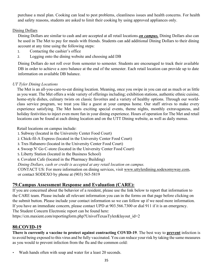purchase a meal plan. Cooking can lead to pest problems, cleanliness issues and health concerns. For health and safety reasons, students are asked to limit their cooking by using approved appliances only.

# Dining Dollars

Dining Dollars are similar to cash and are accepted at all retail locations *on campus.* Dining Dollars also can be used in The Met to pay for meals with friends. Students can add additional Dining Dollars to their dining account at any time using the following steps:

- 1. Contacting the cashier's office
- 2. Logging onto the dining website and choosing add DB

Dining Dollars do not roll over from semester to semester. Students are encouraged to track their available DB in order to achieve a zero balance at the end of the semester. Each retail location can provide up to date information on available DB balance.

# *UT Tyler Dining Locations*

The Met is an all-you-care-to-eat dining location. Meaning, once you swipe in you can eat as much or as little as you want. The Met offers a wide variety of offerings including; exhibition stations, authentic ethnic cuisine, home-style dishes, culinary twists on classic favorites and a variety of healthy options. Through our worldclass service program, we treat you like a guest at your campus home. Our staff strives to make every experience satisfying. The Met hosts exciting special events, theme nights, monthly extravaganzas, and holiday festivities to inject even more fun in your dining experience. Hours of operation for The Met and retail locations can be found at each dining location and on the UTT Dining website, as well as daily menus.

Retail locations on campus include:

- 1. Subway (located in the University Center Food Court)
- 2. Chick-fil-A Express (located in the University Center Food Court)
- 3. Tres Habanero (located in the University Center Food Court)
- 4. Swoop N' Go C-store (located in the University Center Food Court)
- 5. Liberty Station (located in the Business School)
- 6. Covalent Cafe (located in the Pharmacy Building)

*Dining Dollars, cash or credit is accepted at any retail location on campus.* 

CONTACT US: For more information on dining services, visit www.uttylerdining.sodexomyway.com, or contact SODEXO by phone at (903) 565-5819

# **79.Campus Assessment Response and Evaluation (CARE):**

If you are concerned about the behavior of a resident, please use the link below to report that information to the CARE team. Please include all relevant information you can in the forms on that page before clicking on the submit button. Please include your contact information so we can follow up if we need more information. If you have an immediate concern, please contact UPD at 903.566.7300 or dial 911 if it is an emergency. The Student Concern Electronic report can be found here:

https://cm.maxient.com/reportingform.php?UnivofTexasTyler&layout\_id=2

# **80.COVID-19**

**There is currently a vaccine to protect against contracting COVID-19**. The best way to **prevent** infection is to avoid being exposed to this virus and be fully vaccinated. You can reduce your risk by taking the same measures as you would to prevent infection from the flu and the common cold:

Wash hands often with soap and water for a least 20 seconds.